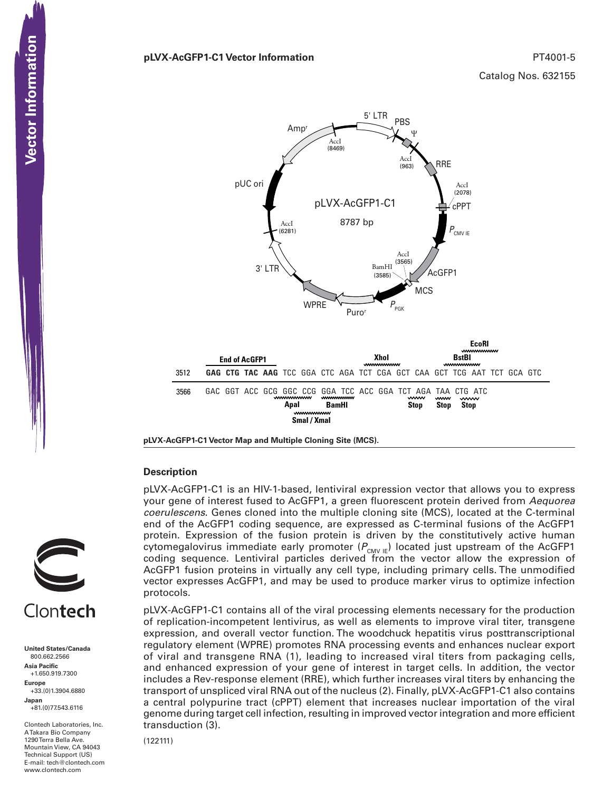#### **pLVX-AcGFP1-C1 Vector Information**  PT4001-5

Catalog Nos. 632155



**pLVX-AcGFP1-C1 Vector Map and Multiple Cloning Site (MCS).**

#### **Description**

pLVX-AcGFP1-C1 is an HIV-1-based, lentiviral expression vector that allows you to express your gene of interest fused to AcGFP1, a green fluorescent protein derived from Aequorea coerulescens. Genes cloned into the multiple cloning site (MCS), located at the C-terminal end of the AcGFP1 coding sequence, are expressed as C-terminal fusions of the AcGFP1 protein. Expression of the fusion protein is driven by the constitutively active human cytomegalovirus immediate early promoter  $(P_{\text{CMV IE}})$  located just upstream of the AcGFP1 coding sequence. Lentiviral particles derived from the vector allow the expression of AcGFP1 fusion proteins in virtually any cell type, including primary cells. The unmodified vector expresses AcGFP1, and may be used to produce marker virus to optimize infection protocols.

pLVX-AcGFP1-C1 contains all of the viral processing elements necessary for the production of replication-incompetent lentivirus, as well as elements to improve viral titer, transgene expression, and overall vector function. The woodchuck hepatitis virus posttranscriptional regulatory element (WPRE) promotes RNA processing events and enhances nuclear export of viral and transgene RNA (1), leading to increased viral titers from packaging cells, and enhanced expression of your gene of interest in target cells. In addition, the vector includes a Rev-response element (RRE), which further increases viral titers by enhancing the transport of unspliced viral RNA out of the nucleus (2). Finally, pLVX-AcGFP1-C1 also contains a central polypurine tract (cPPT) element that increases nuclear importation of the viral genome during target cell infection, resulting in improved vector integration and more efficient transduction (3).

(122111)



**United States/Canada** 800.662.2566 **Asia Pacific** +1.650.919.7300 **Europe** +33.(0)1.3904.6880 **Japan** +81.(0)77.543.6116

Clontech Laboratories, Inc. A Takara Bio Company 1290 Terra Bella Ave. Mountain View, CA 94043 Technical Support (US) E-mail: tech@clontech.com<br>www.clontech.com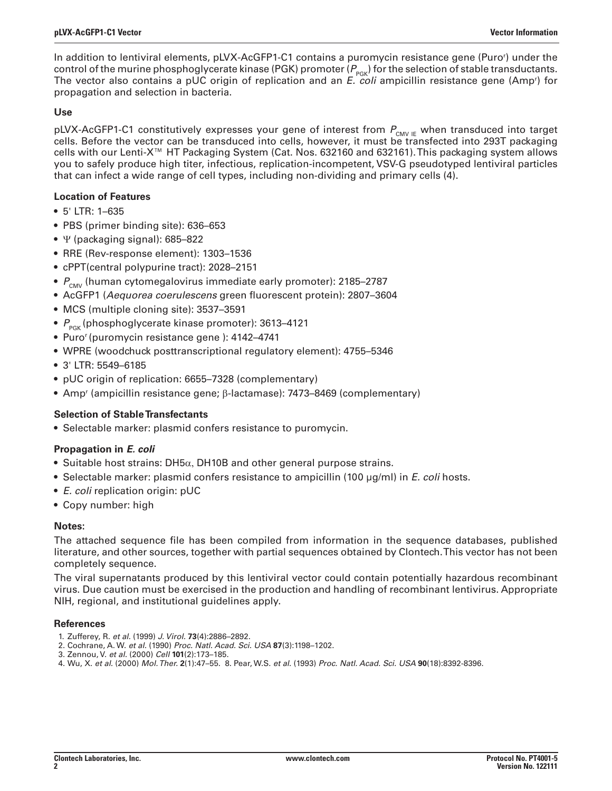In addition to lentiviral elements, pLVX-AcGFP1-C1 contains a puromycin resistance gene (Puror ) under the control of the murine phosphoglycerate kinase (PGK) promoter ( $P_{PGR}$ ) for the selection of stable transductants. The vector also contains a pUC origin of replication and an *E. coli* ampicillin resistance gene (Amp<sup>r</sup>) for propagation and selection in bacteria.

## **Use**

pLVX-AcGFP1-C1 constitutively expresses your gene of interest from  $P_{_{\mathsf{CMV\mid E}}}$  when transduced into target cells. Before the vector can be transduced into cells, however, it must be transfected into 293T packaging cells with our Lenti-X™ HT Packaging System (Cat. Nos. 632160 and 632161). This packaging system allows you to safely produce high titer, infectious, replication-incompetent, VSV-G pseudotyped lentiviral particles that can infect a wide range of cell types, including non-dividing and primary cells (4).

# **Location of Features**

- 5' LTR: 1–635
- PBS (primer binding site): 636–653
- Ψ (packaging signal): 685–822
- RRE (Rev-response element): 1303–1536
- cPPT(central polypurine tract): 2028–2151
- $P_{\text{CMV}}$  (human cytomegalovirus immediate early promoter): 2185–2787
- AcGFP1 (Aequorea coerulescens green fluorescent protein): 2807-3604
- MCS (multiple cloning site): 3537–3591
- $P_{\text{p}_{CK}}$  (phosphoglycerate kinase promoter): 3613-4121
- Puror (puromycin resistance gene ): 4142–4741
- WPRE (woodchuck posttranscriptional regulatory element): 4755–5346
- 3' LTR: 5549–6185
- pUC origin of replication: 6655–7328 (complementary)
- Ampr (ampicillin resistance gene; β-lactamase): 7473–8469 (complementary)

# **Selection of Stable Transfectants**

• Selectable marker: plasmid confers resistance to puromycin.

# **Propagation in** *E. coli*

- Suitable host strains: DH5 $\alpha$ , DH10B and other general purpose strains.
- Selectable marker: plasmid confers resistance to ampicillin (100  $\mu$ g/ml) in *E. coli* hosts.
- E. coli replication origin: pUC
- Copy number: high

## **Notes:**

The attached sequence file has been compiled from information in the sequence databases, published literature, and other sources, together with partial sequences obtained by Clontech. This vector has not been completely sequence.

The viral supernatants produced by this lentiviral vector could contain potentially hazardous recombinant virus. Due caution must be exercised in the production and handling of recombinant lentivirus. Appropriate NIH, regional, and institutional guidelines apply.

## **References**

- 1. Zufferey, R. et al. (1999) J. Virol. **73**(4):2886–2892.
- 2. Cochrane, A. W. et al. (1990) Proc. Natl. Acad. Sci. USA **87**(3):1198–1202.
- 3. Zennou, V. et al. (2000) Cell **101**(2):173–185.
- 4. Wu, X. et al. (2000) Mol. Ther. **2**(1):47–55. 8. Pear, W.S. et al. (1993) Proc. Natl. Acad. Sci. USA **90**(18):8392-8396.